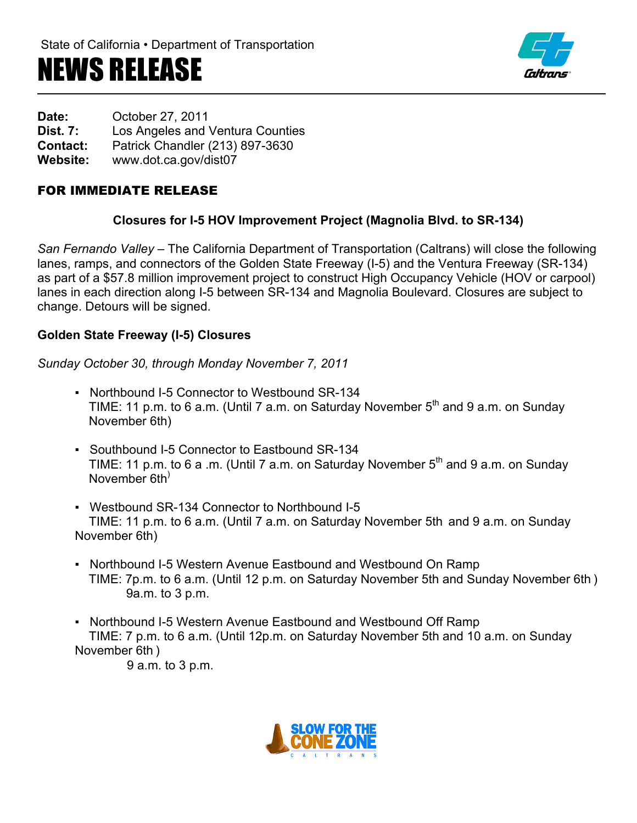# NEWS RELEASE



**Date:** October 27, 2011 **Dist. 7:** Los Angeles and Ventura Counties **Contact:** Patrick Chandler (213) 897-3630 **Website:** www.dot.ca.gov/dist07

## FOR IMMEDIATE RELEASE

#### **Closures for I-5 HOV Improvement Project (Magnolia Blvd. to SR-134)**

*San Fernando Valley –* The California Department of Transportation (Caltrans) will close the following lanes, ramps, and connectors of the Golden State Freeway (I-5) and the Ventura Freeway (SR-134) as part of a \$57.8 million improvement project to construct High Occupancy Vehicle (HOV or carpool) lanes in each direction along I-5 between SR-134 and Magnolia Boulevard. Closures are subject to change. Detours will be signed.

#### **Golden State Freeway (I-5) Closures**

*Sunday October 30, through Monday November 7, 2011*

- Northbound I-5 Connector to Westbound SR-134 TIME: 11 p.m. to 6 a.m. (Until 7 a.m. on Saturday November  $5<sup>th</sup>$  and 9 a.m. on Sunday November 6th)
- Southbound I-5 Connector to Eastbound SR-134 TIME: 11 p.m. to 6 a .m. (Until 7 a.m. on Saturday November  $5<sup>th</sup>$  and 9 a.m. on Sunday November 6th)
- Westbound SR-134 Connector to Northbound I-5 TIME: 11 p.m. to 6 a.m. (Until 7 a.m. on Saturday November 5th and 9 a.m. on Sunday November 6th)
- Northbound I-5 Western Avenue Eastbound and Westbound On Ramp TIME: 7p.m. to 6 a.m. (Until 12 p.m. on Saturday November 5th and Sunday November 6th ) 9a.m. to 3 p.m.
- Northbound I-5 Western Avenue Eastbound and Westbound Off Ramp TIME: 7 p.m. to 6 a.m. (Until 12p.m. on Saturday November 5th and 10 a.m. on Sunday November 6th )

9 a.m. to 3 p.m.

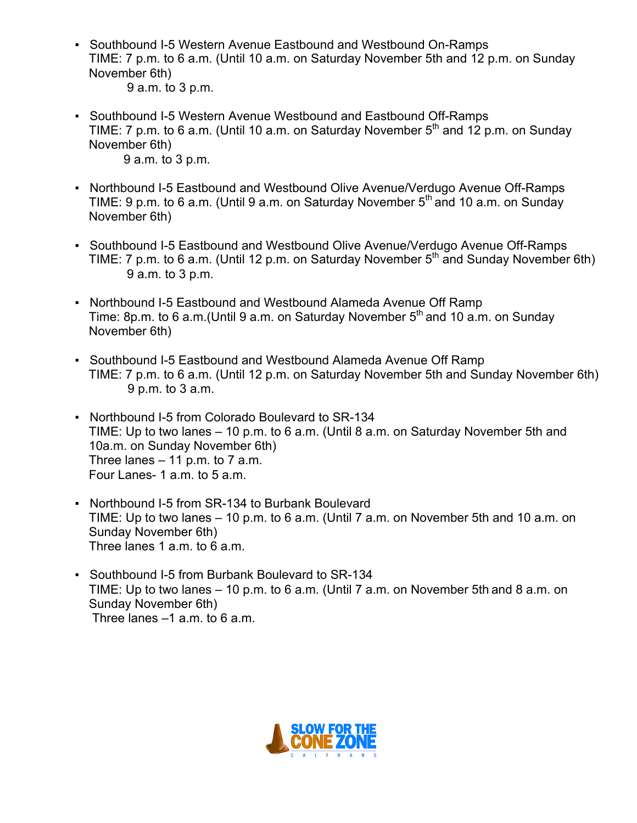- Southbound I-5 Western Avenue Eastbound and Westbound On-Ramps TIME: 7 p.m. to 6 a.m. (Until 10 a.m. on Saturday November 5th and 12 p.m. on Sunday November 6th) 9 a.m. to 3 p.m.
- Southbound I-5 Western Avenue Westbound and Eastbound Off-Ramps TIME: 7 p.m. to 6 a.m. (Until 10 a.m. on Saturday November  $5<sup>th</sup>$  and 12 p.m. on Sunday November 6th) 9 a.m. to 3 p.m.
- Northbound I-5 Eastbound and Westbound Olive Avenue/Verdugo Avenue Off-Ramps TIME: 9 p.m. to 6 a.m. (Until 9 a.m. on Saturday November  $5<sup>th</sup>$  and 10 a.m. on Sunday November 6th)
- Southbound I-5 Eastbound and Westbound Olive Avenue/Verdugo Avenue Off-Ramps TIME: 7 p.m. to 6 a.m. (Until 12 p.m. on Saturday November  $5<sup>th</sup>$  and Sunday November 6th) 9 a.m. to 3 p.m.
- Northbound I-5 Eastbound and Westbound Alameda Avenue Off Ramp Time: 8p.m. to 6 a.m. (Until 9 a.m. on Saturday November  $5<sup>th</sup>$  and 10 a.m. on Sunday November 6th)
- Southbound I-5 Eastbound and Westbound Alameda Avenue Off Ramp TIME: 7 p.m. to 6 a.m. (Until 12 p.m. on Saturday November 5th and Sunday November 6th) 9 p.m. to 3 a.m.
- Northbound I-5 from Colorado Boulevard to SR-134 TIME: Up to two lanes – 10 p.m. to 6 a.m. (Until 8 a.m. on Saturday November 5th and 10a.m. on Sunday November 6th) Three lanes  $-11$  p.m. to 7 a.m. Four Lanes- 1 a.m. to 5 a.m.
- Northbound I-5 from SR-134 to Burbank Boulevard TIME: Up to two lanes – 10 p.m. to 6 a.m. (Until 7 a.m. on November 5th and 10 a.m. on Sunday November 6th) Three lanes 1 a.m. to 6 a.m.
- Southbound I-5 from Burbank Boulevard to SR-134 TIME: Up to two lanes – 10 p.m. to 6 a.m. (Until 7 a.m. on November 5th and 8 a.m. on Sunday November 6th) Three lanes –1 a.m. to 6 a.m.